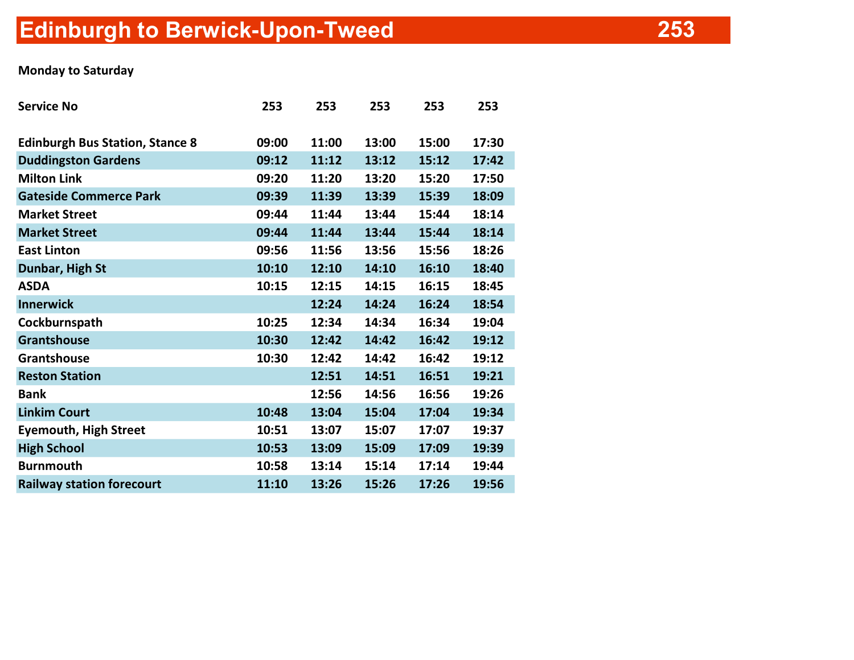## Edinburgh to Berwick-Upon-Tweed

## Monday to Saturday

| <b>Service No</b>                      | 253   | 253   | 253   | 253   | 253   |
|----------------------------------------|-------|-------|-------|-------|-------|
| <b>Edinburgh Bus Station, Stance 8</b> | 09:00 | 11:00 | 13:00 | 15:00 | 17:30 |
| <b>Duddingston Gardens</b>             | 09:12 | 11:12 | 13:12 | 15:12 | 17:42 |
| <b>Milton Link</b>                     | 09:20 | 11:20 | 13:20 | 15:20 | 17:50 |
| <b>Gateside Commerce Park</b>          | 09:39 | 11:39 | 13:39 | 15:39 | 18:09 |
| <b>Market Street</b>                   | 09:44 | 11:44 | 13:44 | 15:44 | 18:14 |
| <b>Market Street</b>                   | 09:44 | 11:44 | 13:44 | 15:44 | 18:14 |
| <b>East Linton</b>                     | 09:56 | 11:56 | 13:56 | 15:56 | 18:26 |
| Dunbar, High St                        | 10:10 | 12:10 | 14:10 | 16:10 | 18:40 |
| <b>ASDA</b>                            | 10:15 | 12:15 | 14:15 | 16:15 | 18:45 |
| <b>Innerwick</b>                       |       | 12:24 | 14:24 | 16:24 | 18:54 |
| Cockburnspath                          | 10:25 | 12:34 | 14:34 | 16:34 | 19:04 |
| <b>Grantshouse</b>                     | 10:30 | 12:42 | 14:42 | 16:42 | 19:12 |
| Grantshouse                            | 10:30 | 12:42 | 14:42 | 16:42 | 19:12 |
| <b>Reston Station</b>                  |       | 12:51 | 14:51 | 16:51 | 19:21 |
| <b>Bank</b>                            |       | 12:56 | 14:56 | 16:56 | 19:26 |
| <b>Linkim Court</b>                    | 10:48 | 13:04 | 15:04 | 17:04 | 19:34 |
| <b>Eyemouth, High Street</b>           | 10:51 | 13:07 | 15:07 | 17:07 | 19:37 |
| <b>High School</b>                     | 10:53 | 13:09 | 15:09 | 17:09 | 19:39 |
| <b>Burnmouth</b>                       | 10:58 | 13:14 | 15:14 | 17:14 | 19:44 |
| <b>Railway station forecourt</b>       | 11:10 | 13:26 | 15:26 | 17:26 | 19:56 |